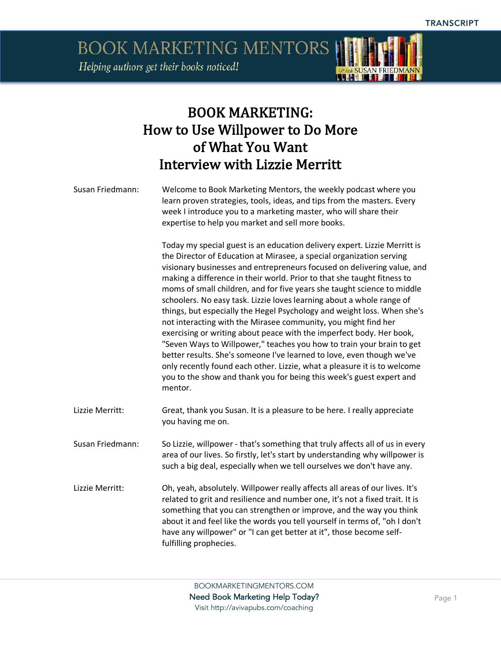**BOOK MARKETING MENTORS** Helping authors get their books noticed!



### BOOK MARKETING: How to Use Willpower to Do More of What You Want Interview with Lizzie Merritt

Susan Friedmann: Welcome to Book Marketing Mentors, the weekly podcast where you learn proven strategies, tools, ideas, and tips from the masters. Every week I introduce you to a marketing master, who will share their expertise to help you market and sell more books.

> Today my special guest is an education delivery expert. Lizzie Merritt is the Director of Education at Mirasee, a special organization serving visionary businesses and entrepreneurs focused on delivering value, and making a difference in their world. Prior to that she taught fitness to moms of small children, and for five years she taught science to middle schoolers. No easy task. Lizzie loves learning about a whole range of things, but especially the Hegel Psychology and weight loss. When she's not interacting with the Mirasee community, you might find her exercising or writing about peace with the imperfect body. Her book, "Seven Ways to Willpower," teaches you how to train your brain to get better results. She's someone I've learned to love, even though we've only recently found each other. Lizzie, what a pleasure it is to welcome you to the show and thank you for being this week's guest expert and mentor.

- Lizzie Merritt: Great, thank you Susan. It is a pleasure to be here. I really appreciate you having me on.
- Susan Friedmann: So Lizzie, willpower that's something that truly affects all of us in every area of our lives. So firstly, let's start by understanding why willpower is such a big deal, especially when we tell ourselves we don't have any.
- Lizzie Merritt: Oh, yeah, absolutely. Willpower really affects all areas of our lives. It's related to grit and resilience and number one, it's not a fixed trait. It is something that you can strengthen or improve, and the way you think about it and feel like the words you tell yourself in terms of, "oh I don't have any willpower" or "I can get better at it", those become selffulfilling prophecies.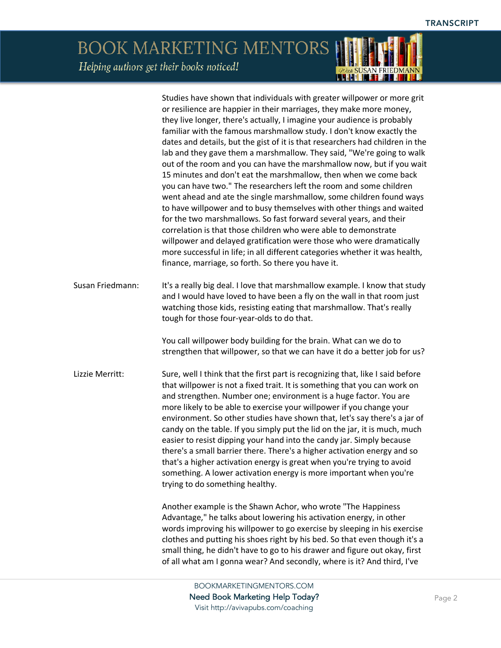*POur SUSAN FRIEDMANN* 

## BOOK MARKETING MENTORS Helping authors get their books noticed!

|                  | Studies have shown that individuals with greater willpower or more grit<br>or resilience are happier in their marriages, they make more money,<br>they live longer, there's actually, I imagine your audience is probably<br>familiar with the famous marshmallow study. I don't know exactly the<br>dates and details, but the gist of it is that researchers had children in the<br>lab and they gave them a marshmallow. They said, "We're going to walk<br>out of the room and you can have the marshmallow now, but if you wait<br>15 minutes and don't eat the marshmallow, then when we come back<br>you can have two." The researchers left the room and some children<br>went ahead and ate the single marshmallow, some children found ways<br>to have willpower and to busy themselves with other things and waited<br>for the two marshmallows. So fast forward several years, and their<br>correlation is that those children who were able to demonstrate<br>willpower and delayed gratification were those who were dramatically<br>more successful in life; in all different categories whether it was health,<br>finance, marriage, so forth. So there you have it. |
|------------------|--------------------------------------------------------------------------------------------------------------------------------------------------------------------------------------------------------------------------------------------------------------------------------------------------------------------------------------------------------------------------------------------------------------------------------------------------------------------------------------------------------------------------------------------------------------------------------------------------------------------------------------------------------------------------------------------------------------------------------------------------------------------------------------------------------------------------------------------------------------------------------------------------------------------------------------------------------------------------------------------------------------------------------------------------------------------------------------------------------------------------------------------------------------------------------------|
| Susan Friedmann: | It's a really big deal. I love that marshmallow example. I know that study<br>and I would have loved to have been a fly on the wall in that room just<br>watching those kids, resisting eating that marshmallow. That's really<br>tough for those four-year-olds to do that.                                                                                                                                                                                                                                                                                                                                                                                                                                                                                                                                                                                                                                                                                                                                                                                                                                                                                                         |
|                  | You call willpower body building for the brain. What can we do to<br>strengthen that willpower, so that we can have it do a better job for us?                                                                                                                                                                                                                                                                                                                                                                                                                                                                                                                                                                                                                                                                                                                                                                                                                                                                                                                                                                                                                                       |
| Lizzie Merritt:  | Sure, well I think that the first part is recognizing that, like I said before<br>that willpower is not a fixed trait. It is something that you can work on<br>and strengthen. Number one; environment is a huge factor. You are<br>more likely to be able to exercise your willpower if you change your<br>environment. So other studies have shown that, let's say there's a jar of<br>candy on the table. If you simply put the lid on the jar, it is much, much<br>easier to resist dipping your hand into the candy jar. Simply because<br>there's a small barrier there. There's a higher activation energy and so<br>that's a higher activation energy is great when you're trying to avoid<br>something. A lower activation energy is more important when you're<br>trying to do something healthy.                                                                                                                                                                                                                                                                                                                                                                          |
|                  | Another example is the Shawn Achor, who wrote "The Happiness"<br>Advantage," he talks about lowering his activation energy, in other<br>words improving his willpower to go exercise by sleeping in his exercise<br>clothes and putting his shoes right by his bed. So that even though it's a<br>small thing, he didn't have to go to his drawer and figure out okay, first<br>of all what am I gonna wear? And secondly, where is it? And third, I've                                                                                                                                                                                                                                                                                                                                                                                                                                                                                                                                                                                                                                                                                                                              |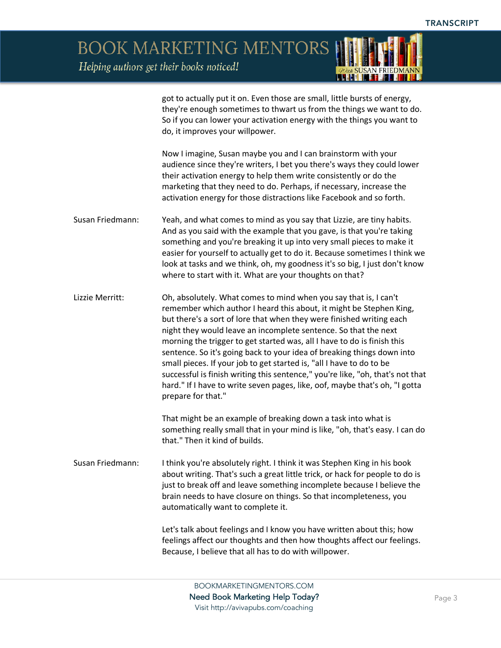**BOOK MARKETING MENTORS** 

Helping authors get their books noticed!



got to actually put it on. Even those are small, little bursts of energy, they're enough sometimes to thwart us from the things we want to do. So if you can lower your activation energy with the things you want to do, it improves your willpower.

Now I imagine, Susan maybe you and I can brainstorm with your audience since they're writers, I bet you there's ways they could lower their activation energy to help them write consistently or do the marketing that they need to do. Perhaps, if necessary, increase the activation energy for those distractions like Facebook and so forth.

Susan Friedmann: Yeah, and what comes to mind as you say that Lizzie, are tiny habits. And as you said with the example that you gave, is that you're taking something and you're breaking it up into very small pieces to make it easier for yourself to actually get to do it. Because sometimes I think we look at tasks and we think, oh, my goodness it's so big, I just don't know where to start with it. What are your thoughts on that?

Lizzie Merritt: Oh, absolutely. What comes to mind when you say that is, I can't remember which author I heard this about, it might be Stephen King, but there's a sort of lore that when they were finished writing each night they would leave an incomplete sentence. So that the next morning the trigger to get started was, all I have to do is finish this sentence. So it's going back to your idea of breaking things down into small pieces. If your job to get started is, "all I have to do to be successful is finish writing this sentence," you're like, "oh, that's not that hard." If I have to write seven pages, like, oof, maybe that's oh, "I gotta prepare for that."

> That might be an example of breaking down a task into what is something really small that in your mind is like, "oh, that's easy. I can do that." Then it kind of builds.

Susan Friedmann: I think you're absolutely right. I think it was Stephen King in his book about writing. That's such a great little trick, or hack for people to do is just to break off and leave something incomplete because I believe the brain needs to have closure on things. So that incompleteness, you automatically want to complete it.

> Let's talk about feelings and I know you have written about this; how feelings affect our thoughts and then how thoughts affect our feelings. Because, I believe that all has to do with willpower.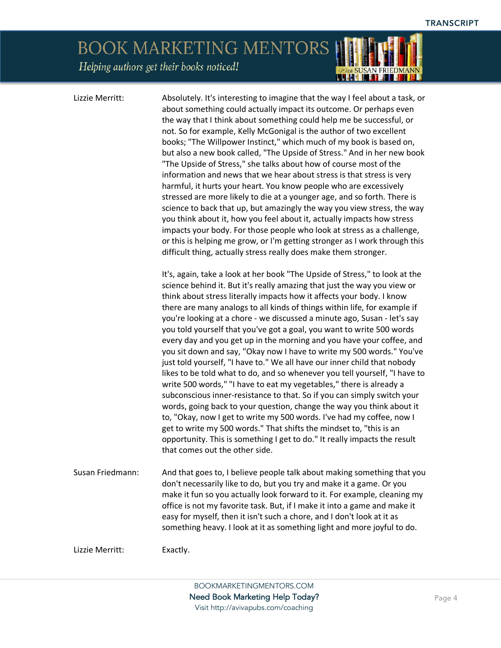# **BOOK MARKETING MENTORS**

Helping authors get their books noticed!

Lizzie Merritt: Absolutely. It's interesting to imagine that the way I feel about a task, or about something could actually impact its outcome. Or perhaps even the way that I think about something could help me be successful, or not. So for example, Kelly McGonigal is the author of two excellent books; "The Willpower Instinct," which much of my book is based on, but also a new book called, "The Upside of Stress." And in her new book "The Upside of Stress," she talks about how of course most of the information and news that we hear about stress is that stress is very harmful, it hurts your heart. You know people who are excessively stressed are more likely to die at a younger age, and so forth. There is science to back that up, but amazingly the way you view stress, the way you think about it, how you feel about it, actually impacts how stress impacts your body. For those people who look at stress as a challenge, or this is helping me grow, or I'm getting stronger as I work through this difficult thing, actually stress really does make them stronger.

It's, again, take a look at her book "The Upside of Stress," to look at the science behind it. But it's really amazing that just the way you view or think about stress literally impacts how it affects your body. I know there are many analogs to all kinds of things within life, for example if you're looking at a chore - we discussed a minute ago, Susan - let's say you told yourself that you've got a goal, you want to write 500 words every day and you get up in the morning and you have your coffee, and you sit down and say, "Okay now I have to write my 500 words." You've just told yourself, "I have to." We all have our inner child that nobody likes to be told what to do, and so whenever you tell yourself, "I have to write 500 words," "I have to eat my vegetables," there is already a subconscious inner-resistance to that. So if you can simply switch your words, going back to your question, change the way you think about it to, "Okay, now I get to write my 500 words. I've had my coffee, now I get to write my 500 words." That shifts the mindset to, "this is an opportunity. This is something I get to do." It really impacts the result that comes out the other side.

Susan Friedmann: And that goes to, I believe people talk about making something that you don't necessarily like to do, but you try and make it a game. Or you make it fun so you actually look forward to it. For example, cleaning my office is not my favorite task. But, if I make it into a game and make it easy for myself, then it isn't such a chore, and I don't look at it as something heavy. I look at it as something light and more joyful to do.

Lizzie Merritt: Exactly.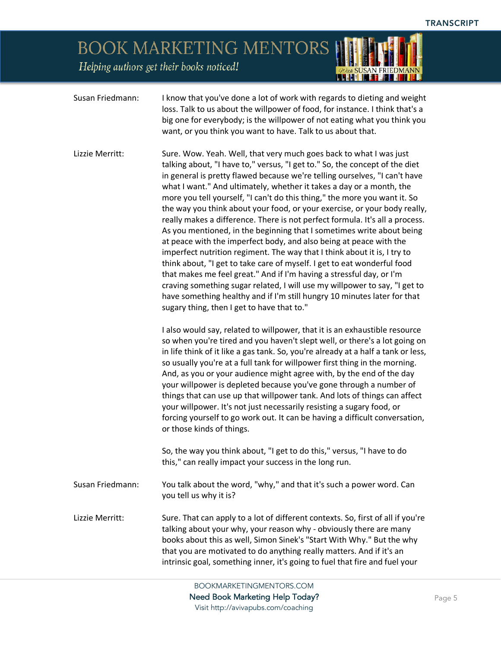*POur SUSAN FRIEDMANN* 

## BOOK MARKETING MENTORS

Helping authors get their books noticed!

| Susan Friedmann: | I know that you've done a lot of work with regards to dieting and weight<br>loss. Talk to us about the willpower of food, for instance. I think that's a<br>big one for everybody; is the willpower of not eating what you think you<br>want, or you think you want to have. Talk to us about that.                                                                                                                                                                                                                                                                                                                                                                                                                                                                                                                                                                                                                                                                                                                                                                                                                                     |
|------------------|-----------------------------------------------------------------------------------------------------------------------------------------------------------------------------------------------------------------------------------------------------------------------------------------------------------------------------------------------------------------------------------------------------------------------------------------------------------------------------------------------------------------------------------------------------------------------------------------------------------------------------------------------------------------------------------------------------------------------------------------------------------------------------------------------------------------------------------------------------------------------------------------------------------------------------------------------------------------------------------------------------------------------------------------------------------------------------------------------------------------------------------------|
| Lizzie Merritt:  | Sure. Wow. Yeah. Well, that very much goes back to what I was just<br>talking about, "I have to," versus, "I get to." So, the concept of the diet<br>in general is pretty flawed because we're telling ourselves, "I can't have<br>what I want." And ultimately, whether it takes a day or a month, the<br>more you tell yourself, "I can't do this thing," the more you want it. So<br>the way you think about your food, or your exercise, or your body really,<br>really makes a difference. There is not perfect formula. It's all a process.<br>As you mentioned, in the beginning that I sometimes write about being<br>at peace with the imperfect body, and also being at peace with the<br>imperfect nutrition regiment. The way that I think about it is, I try to<br>think about, "I get to take care of myself. I get to eat wonderful food<br>that makes me feel great." And if I'm having a stressful day, or I'm<br>craving something sugar related, I will use my willpower to say, "I get to<br>have something healthy and if I'm still hungry 10 minutes later for that<br>sugary thing, then I get to have that to." |
|                  | I also would say, related to willpower, that it is an exhaustible resource<br>so when you're tired and you haven't slept well, or there's a lot going on<br>in life think of it like a gas tank. So, you're already at a half a tank or less,<br>so usually you're at a full tank for willpower first thing in the morning.<br>And, as you or your audience might agree with, by the end of the day<br>your willpower is depleted because you've gone through a number of<br>things that can use up that willpower tank. And lots of things can affect<br>your willpower. It's not just necessarily resisting a sugary food, or<br>forcing yourself to go work out. It can be having a difficult conversation,<br>or those kinds of things.<br>So, the way you think about, "I get to do this," versus, "I have to do                                                                                                                                                                                                                                                                                                                   |
|                  | this," can really impact your success in the long run.                                                                                                                                                                                                                                                                                                                                                                                                                                                                                                                                                                                                                                                                                                                                                                                                                                                                                                                                                                                                                                                                                  |
| Susan Friedmann: | You talk about the word, "why," and that it's such a power word. Can<br>you tell us why it is?                                                                                                                                                                                                                                                                                                                                                                                                                                                                                                                                                                                                                                                                                                                                                                                                                                                                                                                                                                                                                                          |
| Lizzie Merritt:  | Sure. That can apply to a lot of different contexts. So, first of all if you're<br>talking about your why, your reason why - obviously there are many<br>books about this as well, Simon Sinek's "Start With Why." But the why<br>that you are motivated to do anything really matters. And if it's an<br>intrinsic goal, something inner, it's going to fuel that fire and fuel your                                                                                                                                                                                                                                                                                                                                                                                                                                                                                                                                                                                                                                                                                                                                                   |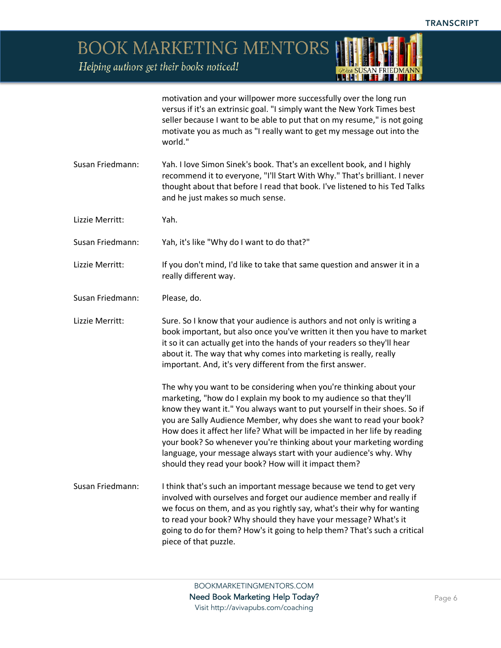*ADrew* **SUSAN FRIEDMANN** 

BOOK MARKETING MENTORS

Helping authors get their books noticed!

|                  | motivation and your willpower more successfully over the long run<br>versus if it's an extrinsic goal. "I simply want the New York Times best<br>seller because I want to be able to put that on my resume," is not going<br>motivate you as much as "I really want to get my message out into the<br>world."                                                                                                                                                                                                                                                                  |
|------------------|--------------------------------------------------------------------------------------------------------------------------------------------------------------------------------------------------------------------------------------------------------------------------------------------------------------------------------------------------------------------------------------------------------------------------------------------------------------------------------------------------------------------------------------------------------------------------------|
| Susan Friedmann: | Yah. I love Simon Sinek's book. That's an excellent book, and I highly<br>recommend it to everyone, "I'll Start With Why." That's brilliant. I never<br>thought about that before I read that book. I've listened to his Ted Talks<br>and he just makes so much sense.                                                                                                                                                                                                                                                                                                         |
| Lizzie Merritt:  | Yah.                                                                                                                                                                                                                                                                                                                                                                                                                                                                                                                                                                           |
| Susan Friedmann: | Yah, it's like "Why do I want to do that?"                                                                                                                                                                                                                                                                                                                                                                                                                                                                                                                                     |
| Lizzie Merritt:  | If you don't mind, I'd like to take that same question and answer it in a<br>really different way.                                                                                                                                                                                                                                                                                                                                                                                                                                                                             |
| Susan Friedmann: | Please, do.                                                                                                                                                                                                                                                                                                                                                                                                                                                                                                                                                                    |
| Lizzie Merritt:  | Sure. So I know that your audience is authors and not only is writing a<br>book important, but also once you've written it then you have to market<br>it so it can actually get into the hands of your readers so they'll hear<br>about it. The way that why comes into marketing is really, really<br>important. And, it's very different from the first answer.                                                                                                                                                                                                              |
|                  | The why you want to be considering when you're thinking about your<br>marketing, "how do I explain my book to my audience so that they'll<br>know they want it." You always want to put yourself in their shoes. So if<br>you are Sally Audience Member, why does she want to read your book?<br>How does it affect her life? What will be impacted in her life by reading<br>your book? So whenever you're thinking about your marketing wording<br>language, your message always start with your audience's why. Why<br>should they read your book? How will it impact them? |
| Susan Friedmann: | I think that's such an important message because we tend to get very<br>involved with ourselves and forget our audience member and really if<br>we focus on them, and as you rightly say, what's their why for wanting<br>to read your book? Why should they have your message? What's it<br>going to do for them? How's it going to help them? That's such a critical<br>piece of that puzzle.                                                                                                                                                                                |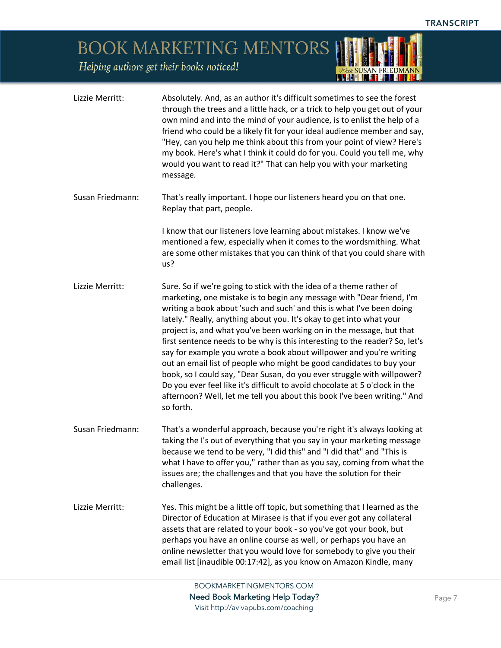*POur SUSAN FRIEDMANN* 

## BOOK MARKETING MENTORS

Helping authors get their books noticed!

| Lizzie Merritt:  | Absolutely. And, as an author it's difficult sometimes to see the forest<br>through the trees and a little hack, or a trick to help you get out of your<br>own mind and into the mind of your audience, is to enlist the help of a<br>friend who could be a likely fit for your ideal audience member and say,<br>"Hey, can you help me think about this from your point of view? Here's<br>my book. Here's what I think it could do for you. Could you tell me, why<br>would you want to read it?" That can help you with your marketing<br>message.                                                                                                                                                                                                                                                                                                  |
|------------------|--------------------------------------------------------------------------------------------------------------------------------------------------------------------------------------------------------------------------------------------------------------------------------------------------------------------------------------------------------------------------------------------------------------------------------------------------------------------------------------------------------------------------------------------------------------------------------------------------------------------------------------------------------------------------------------------------------------------------------------------------------------------------------------------------------------------------------------------------------|
| Susan Friedmann: | That's really important. I hope our listeners heard you on that one.<br>Replay that part, people.                                                                                                                                                                                                                                                                                                                                                                                                                                                                                                                                                                                                                                                                                                                                                      |
|                  | I know that our listeners love learning about mistakes. I know we've<br>mentioned a few, especially when it comes to the wordsmithing. What<br>are some other mistakes that you can think of that you could share with<br>us?                                                                                                                                                                                                                                                                                                                                                                                                                                                                                                                                                                                                                          |
| Lizzie Merritt:  | Sure. So if we're going to stick with the idea of a theme rather of<br>marketing, one mistake is to begin any message with "Dear friend, I'm<br>writing a book about 'such and such' and this is what I've been doing<br>lately." Really, anything about you. It's okay to get into what your<br>project is, and what you've been working on in the message, but that<br>first sentence needs to be why is this interesting to the reader? So, let's<br>say for example you wrote a book about willpower and you're writing<br>out an email list of people who might be good candidates to buy your<br>book, so I could say, "Dear Susan, do you ever struggle with willpower?<br>Do you ever feel like it's difficult to avoid chocolate at 5 o'clock in the<br>afternoon? Well, let me tell you about this book I've been writing." And<br>so forth. |
| Susan Friedmann: | That's a wonderful approach, because you're right it's always looking at<br>taking the I's out of everything that you say in your marketing message<br>because we tend to be very, "I did this" and "I did that" and "This is<br>what I have to offer you," rather than as you say, coming from what the<br>issues are; the challenges and that you have the solution for their<br>challenges.                                                                                                                                                                                                                                                                                                                                                                                                                                                         |
| Lizzie Merritt:  | Yes. This might be a little off topic, but something that I learned as the<br>Director of Education at Mirasee is that if you ever got any collateral<br>assets that are related to your book - so you've got your book, but<br>perhaps you have an online course as well, or perhaps you have an<br>online newsletter that you would love for somebody to give you their<br>email list [inaudible 00:17:42], as you know on Amazon Kindle, many                                                                                                                                                                                                                                                                                                                                                                                                       |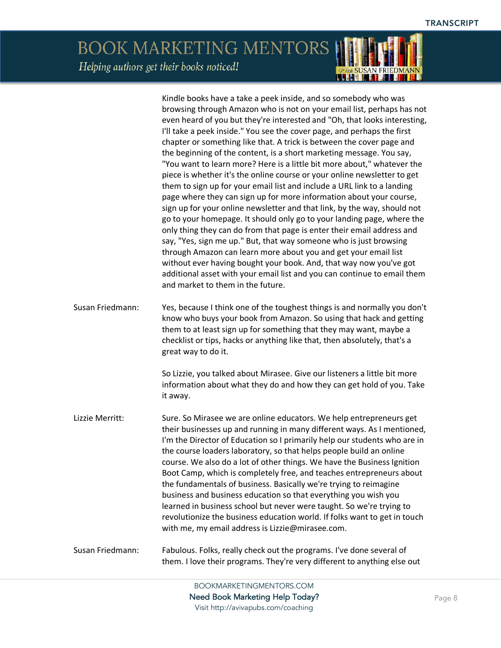### **BOOK MARKETING MENTORS** Helping authors get their books noticed!

Kindle books have a take a peek inside, and so somebody who was browsing through Amazon who is not on your email list, perhaps has not even heard of you but they're interested and "Oh, that looks interesting, I'll take a peek inside." You see the cover page, and perhaps the first chapter or something like that. A trick is between the cover page and the beginning of the content, is a short marketing message. You say, "You want to learn more? Here is a little bit more about," whatever the piece is whether it's the online course or your online newsletter to get them to sign up for your email list and include a URL link to a landing page where they can sign up for more information about your course, sign up for your online newsletter and that link, by the way, should not go to your homepage. It should only go to your landing page, where the only thing they can do from that page is enter their email address and say, "Yes, sign me up." But, that way someone who is just browsing through Amazon can learn more about you and get your email list without ever having bought your book. And, that way now you've got additional asset with your email list and you can continue to email them and market to them in the future. Susan Friedmann: Yes, because I think one of the toughest things is and normally you don't know who buys your book from Amazon. So using that hack and getting them to at least sign up for something that they may want, maybe a checklist or tips, hacks or anything like that, then absolutely, that's a great way to do it. So Lizzie, you talked about Mirasee. Give our listeners a little bit more information about what they do and how they can get hold of you. Take it away. Lizzie Merritt: Sure. So Mirasee we are online educators. We help entrepreneurs get their businesses up and running in many different ways. As I mentioned, I'm the Director of Education so I primarily help our students who are in the course loaders laboratory, so that helps people build an online course. We also do a lot of other things. We have the Business Ignition Boot Camp, which is completely free, and teaches entrepreneurs about the fundamentals of business. Basically we're trying to reimagine business and business education so that everything you wish you learned in business school but never were taught. So we're trying to revolutionize the business education world. If folks want to get in touch with me, my email address is Lizzie@mirasee.com. Susan Friedmann: Fabulous. Folks, really check out the programs. I've done several of them. I love their programs. They're very different to anything else out